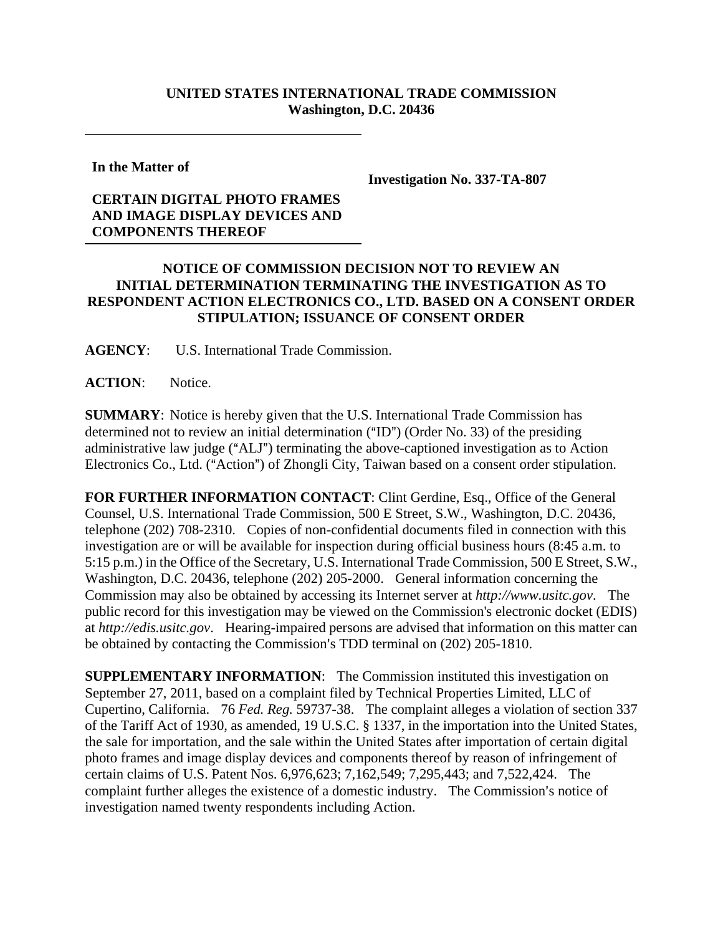## **UNITED STATES INTERNATIONAL TRADE COMMISSION Washington, D.C. 20436**

**In the Matter of** 

**Investigation No. 337-TA-807** 

## **CERTAIN DIGITAL PHOTO FRAMES AND IMAGE DISPLAY DEVICES AND COMPONENTS THEREOF**

## **NOTICE OF COMMISSION DECISION NOT TO REVIEW AN INITIAL DETERMINATION TERMINATING THE INVESTIGATION AS TO RESPONDENT ACTION ELECTRONICS CO., LTD. BASED ON A CONSENT ORDER STIPULATION; ISSUANCE OF CONSENT ORDER**

**AGENCY**: U.S. International Trade Commission.

ACTION: Notice.

**SUMMARY**: Notice is hereby given that the U.S. International Trade Commission has determined not to review an initial determination  $("ID")$  (Order No. 33) of the presiding administrative law judge ("ALJ") terminating the above-captioned investigation as to Action Electronics Co., Ltd. ("Action") of Zhongli City, Taiwan based on a consent order stipulation.

**FOR FURTHER INFORMATION CONTACT**: Clint Gerdine, Esq., Office of the General Counsel, U.S. International Trade Commission, 500 E Street, S.W., Washington, D.C. 20436, telephone (202) 708-2310. Copies of non-confidential documents filed in connection with this investigation are or will be available for inspection during official business hours (8:45 a.m. to 5:15 p.m.) in the Office of the Secretary, U.S. International Trade Commission, 500 E Street, S.W., Washington, D.C. 20436, telephone (202) 205-2000. General information concerning the Commission may also be obtained by accessing its Internet server at *http://www.usitc.gov*. The public record for this investigation may be viewed on the Commission's electronic docket (EDIS) at *http://edis.usitc.gov*. Hearing-impaired persons are advised that information on this matter can be obtained by contacting the Commission's TDD terminal on (202) 205-1810.

**SUPPLEMENTARY INFORMATION**: The Commission instituted this investigation on September 27, 2011, based on a complaint filed by Technical Properties Limited, LLC of Cupertino, California. 76 *Fed. Reg.* 59737-38. The complaint alleges a violation of section 337 of the Tariff Act of 1930, as amended, 19 U.S.C. § 1337, in the importation into the United States, the sale for importation, and the sale within the United States after importation of certain digital photo frames and image display devices and components thereof by reason of infringement of certain claims of U.S. Patent Nos. 6,976,623; 7,162,549; 7,295,443; and 7,522,424. The complaint further alleges the existence of a domestic industry. The Commission's notice of investigation named twenty respondents including Action.